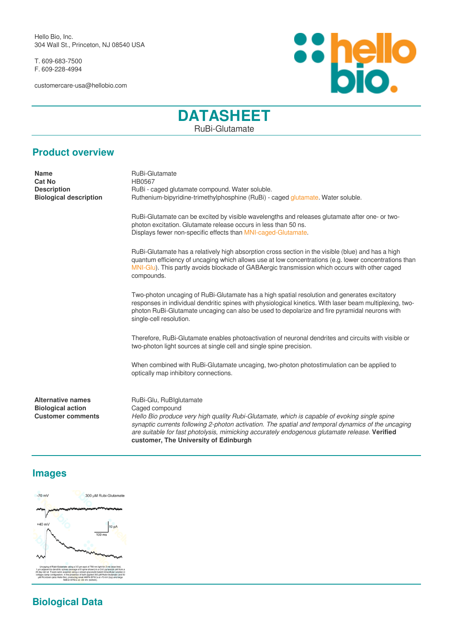Hello Bio, Inc. 304 Wall St., Princeton, NJ 08540 USA

T. 609-683-7500 F. 609-228-4994

customercare-usa@hellobio.com



# **DATASHEET** RuBi-Glutamate

#### **Product overview**

**Name** RuBi-Glutamate **Cat No** HB0567

**Description**<br>**Biological description** Ruthenium-bipyridine-trimethylphosphine (RuBi) - a Ruthenium-bipyridine-trimethylphosphine (RuBi) - a Ruthenium-**Biological description** Ruthenium-bipyridine-trimethylphosphine (RuBi) - caged [glutamate.](https://hellobio.com/lglutamate.html) Water soluble.

> RuBi-Glutamate can be excited by visible wavelengths and releases glutamate after one- or twophoton excitation. Glutamate release occurs in less than 50 ns. Displays fewer non-specific effects than [MNI-caged-Glutamate.](https://hellobio.com/mni-glu.html)

RuBi-Glutamate has a relatively high absorption cross section in the visible (blue) and has a high quantum efficiency of uncaging which allows use at low concentrations (e.g. lower concentrations than [MNI-Glu](https://hellobio.com/mni-glu.html)). This partly avoids blockade of GABAergic transmission which occurs with other caged compounds.

Two-photon uncaging of RuBi-Glutamate has a high spatial resolution and generates excitatory responses in individual dendritic spines with physiological kinetics. With laser beam multiplexing, twophoton RuBi-Glutamate uncaging can also be used to depolarize and fire pyramidal neurons with single-cell resolution.

Therefore, RuBi-Glutamate enables photoactivation of neuronal dendrites and circuits with visible or two-photon light sources at single cell and single spine precision.

When combined with RuBi-Glutamate uncaging, two-photon photostimulation can be applied to optically map inhibitory connections.

**Biological action** Caged compound

**Alternative names** RuBi-Glu, RuBIglutamate **Customer comments** *Hello Bio produce very high quality Rubi-Glutamate, which is capable of evoking single spine synaptic currents following 2-photon activation. The spatial and temporal dynamics of the uncaging are suitable for fast photolysis, mimicking accurately endogenous glutamate release.* **Verified customer, The University of Edinburgh**

## **Images**



## **Biological Data**